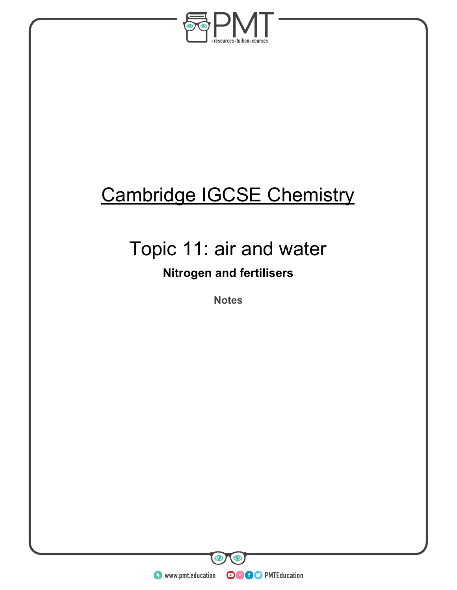

# Cambridge IGCSE Chemistry

# Topic 11: air and water

## **Nitrogen and fertilisers**

**Notes** 

**WWW.pmt.education** 

 $\bm{\bm\circ}$ 

**OOOO** PMTEducation